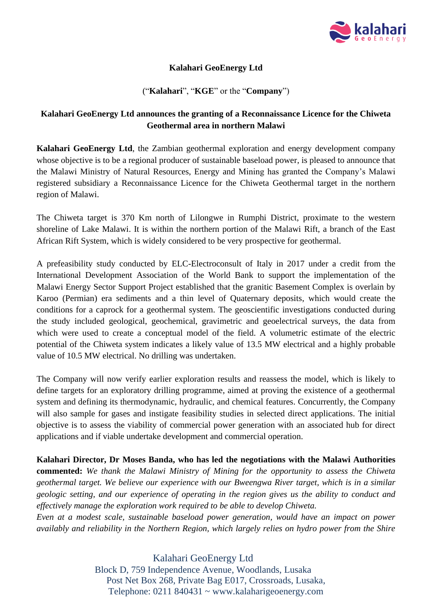

## **Kalahari GeoEnergy Ltd**

### ("**Kalahari**", "**KGE**" or the "**Company**")

# **Kalahari GeoEnergy Ltd announces the granting of a Reconnaissance Licence for the Chiweta Geothermal area in northern Malawi**

**Kalahari GeoEnergy Ltd**, the Zambian geothermal exploration and energy development company whose objective is to be a regional producer of sustainable baseload power, is pleased to announce that the Malawi Ministry of Natural Resources, Energy and Mining has granted the Company's Malawi registered subsidiary a Reconnaissance Licence for the Chiweta Geothermal target in the northern region of Malawi.

The Chiweta target is 370 Km north of Lilongwe in Rumphi District, proximate to the western shoreline of Lake Malawi. It is within the northern portion of the Malawi Rift, a branch of the East African Rift System, which is widely considered to be very prospective for geothermal.

A prefeasibility study conducted by ELC-Electroconsult of Italy in 2017 under a credit from the International Development Association of the World Bank to support the implementation of the Malawi Energy Sector Support Project established that the granitic Basement Complex is overlain by Karoo (Permian) era sediments and a thin level of Quaternary deposits, which would create the conditions for a caprock for a geothermal system. The geoscientific investigations conducted during the study included geological, geochemical, gravimetric and geoelectrical surveys, the data from which were used to create a conceptual model of the field. A volumetric estimate of the electric potential of the Chiweta system indicates a likely value of 13.5 MW electrical and a highly probable value of 10.5 MW electrical. No drilling was undertaken.

The Company will now verify earlier exploration results and reassess the model, which is likely to define targets for an exploratory drilling programme, aimed at proving the existence of a geothermal system and defining its thermodynamic, hydraulic, and chemical features. Concurrently, the Company will also sample for gases and instigate feasibility studies in selected direct applications. The initial objective is to assess the viability of commercial power generation with an associated hub for direct applications and if viable undertake development and commercial operation.

**Kalahari Director, Dr Moses Banda, who has led the negotiations with the Malawi Authorities commented:** *We thank the Malawi Ministry of Mining for the opportunity to assess the Chiweta geothermal target. We believe our experience with our Bweengwa River target, which is in a similar geologic setting, and our experience of operating in the region gives us the ability to conduct and effectively manage the exploration work required to be able to develop Chiweta.* 

*Even at a modest scale, sustainable baseload power generation, would have an impact on power availably and reliability in the Northern Region, which largely relies on hydro power from the Shire* 

> Kalahari GeoEnergy Ltd Block D, 759 Independence Avenue, Woodlands, Lusaka Post Net Box 268, Private Bag E017, Crossroads, Lusaka, Telephone: 0211 840431 ~ www.kalaharigeoenergy.com